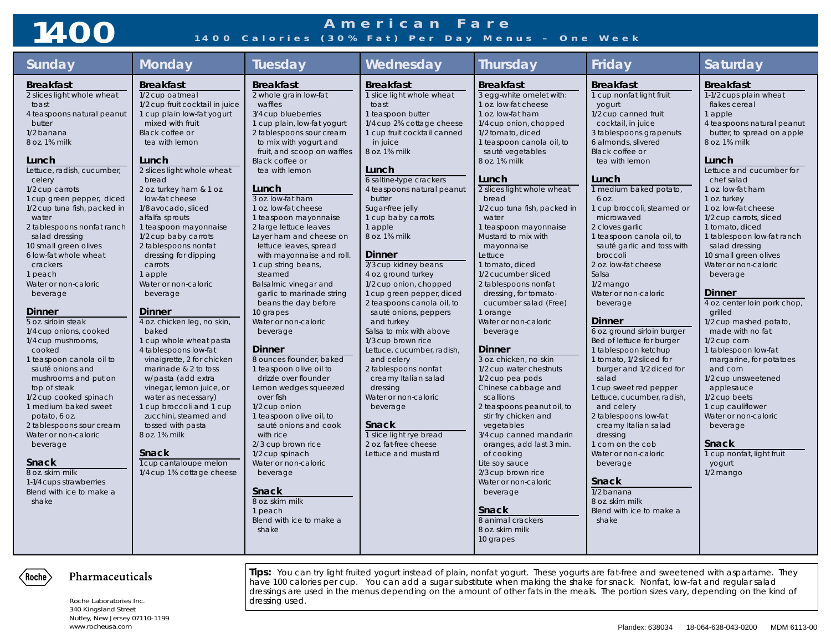## **American Fare 1400 1400 Calories (30% Fat) Per Day Menus – One Week**

| Sunday                                                                                                                                                                                                                                                                                                                                                                                                                                                                                                                                                                                                                                                                                                                                                                                                                                                                | <b>Monday</b>                                                                                                                                                                                                                                                                                                                                                                                                                                                                                                                                                                                                                                                                                                                                                                                                                                                                  | <b>Tuesday</b>                                                                                                                                                                                                                                                                                                                                                                                                                                                                                                                                                                                                                                                                                                                                                                                                                                                                                                                                                                             | Wednesday                                                                                                                                                                                                                                                                                                                                                                                                                                                                                                                                                                                                                                                                                                                                                                                           | <b>Thursday</b>                                                                                                                                                                                                                                                                                                                                                                                                                                                                                                                                                                                                                                                                                                                                                                                                                                                                                                                                                          | Friday                                                                                                                                                                                                                                                                                                                                                                                                                                                                                                                                                                                                                                                                                                                                                                                                                                                                                                                  | Saturday                                                                                                                                                                                                                                                                                                                                                                                                                                                                                                                                                                                                                                                                                                                                                                                                   |
|-----------------------------------------------------------------------------------------------------------------------------------------------------------------------------------------------------------------------------------------------------------------------------------------------------------------------------------------------------------------------------------------------------------------------------------------------------------------------------------------------------------------------------------------------------------------------------------------------------------------------------------------------------------------------------------------------------------------------------------------------------------------------------------------------------------------------------------------------------------------------|--------------------------------------------------------------------------------------------------------------------------------------------------------------------------------------------------------------------------------------------------------------------------------------------------------------------------------------------------------------------------------------------------------------------------------------------------------------------------------------------------------------------------------------------------------------------------------------------------------------------------------------------------------------------------------------------------------------------------------------------------------------------------------------------------------------------------------------------------------------------------------|--------------------------------------------------------------------------------------------------------------------------------------------------------------------------------------------------------------------------------------------------------------------------------------------------------------------------------------------------------------------------------------------------------------------------------------------------------------------------------------------------------------------------------------------------------------------------------------------------------------------------------------------------------------------------------------------------------------------------------------------------------------------------------------------------------------------------------------------------------------------------------------------------------------------------------------------------------------------------------------------|-----------------------------------------------------------------------------------------------------------------------------------------------------------------------------------------------------------------------------------------------------------------------------------------------------------------------------------------------------------------------------------------------------------------------------------------------------------------------------------------------------------------------------------------------------------------------------------------------------------------------------------------------------------------------------------------------------------------------------------------------------------------------------------------------------|--------------------------------------------------------------------------------------------------------------------------------------------------------------------------------------------------------------------------------------------------------------------------------------------------------------------------------------------------------------------------------------------------------------------------------------------------------------------------------------------------------------------------------------------------------------------------------------------------------------------------------------------------------------------------------------------------------------------------------------------------------------------------------------------------------------------------------------------------------------------------------------------------------------------------------------------------------------------------|-------------------------------------------------------------------------------------------------------------------------------------------------------------------------------------------------------------------------------------------------------------------------------------------------------------------------------------------------------------------------------------------------------------------------------------------------------------------------------------------------------------------------------------------------------------------------------------------------------------------------------------------------------------------------------------------------------------------------------------------------------------------------------------------------------------------------------------------------------------------------------------------------------------------------|------------------------------------------------------------------------------------------------------------------------------------------------------------------------------------------------------------------------------------------------------------------------------------------------------------------------------------------------------------------------------------------------------------------------------------------------------------------------------------------------------------------------------------------------------------------------------------------------------------------------------------------------------------------------------------------------------------------------------------------------------------------------------------------------------------|
| <b>Breakfast</b><br>2 slices light whole wheat<br>toast<br>4 teaspoons natural peanut<br>butter<br>1/2 banana<br>8 oz. 1% milk<br>Lunch<br>Lettuce, radish, cucumber,<br>celery<br>1/2 cup carrots<br>1 cup green pepper, diced<br>1/2 cup tuna fish, packed in<br>water<br>2 tablespoons nonfat ranch<br>salad dressing<br>10 small green olives<br>6 low-fat whole wheat<br>crackers<br>1 peach<br>Water or non-caloric<br>beverage<br><b>Dinner</b><br>5 oz. sirloin steak<br>1/4 cup onions, cooked<br>1/4 cup mushrooms,<br>cooked<br>1 teaspoon canola oil to<br>sauté onions and<br>mushrooms and put on<br>top of steak<br>1/2 cup cooked spinach<br>1 medium baked sweet<br>potato, 6 oz.<br>2 tablespoons sour cream<br>Water or non-caloric<br>beverage<br><b>Snack</b><br>8 oz. skim milk<br>1-1/4 cups strawberries<br>Blend with ice to make a<br>shake | <b>Breakfast</b><br>1/2 cup oatmeal<br>1/2 cup fruit cocktail in juice<br>1 cup plain low-fat yogurt<br>mixed with fruit<br>Black coffee or<br>tea with lemon<br>Lunch<br>2 slices light whole wheat<br>bread<br>2 oz. turkey ham & 1 oz.<br>low-fat cheese<br>1/8 avocado, sliced<br>alfalfa sprouts<br>1 teaspoon mayonnaise<br>1/2 cup baby carrots<br>2 tablespoons nonfat<br>dressing for dipping<br>carrots<br>1 apple<br>Water or non-caloric<br>beverage<br><b>Dinner</b><br>4 oz. chicken leg, no skin,<br>baked<br>1 cup whole wheat pasta<br>4 tablespoons low-fat<br>vinaigrette, 2 for chicken<br>marinade & 2 to toss<br>w/pasta (add extra<br>vinegar, lemon juice, or<br>water as necessary)<br>1 cup broccoli and 1 cup<br>zucchini, steamed and<br>tossed with pasta<br>8 oz. 1% milk<br><b>Snack</b><br>1 cup cantaloupe melon<br>1/4 cup 1% cottage cheese | <b>Breakfast</b><br>2 whole grain low-fat<br>waffles<br>3/4 cup blueberries<br>1 cup plain, low-fat yogurt<br>2 tablespoons sour cream<br>to mix with yogurt and<br>fruit, and scoop on waffles<br>Black coffee or<br>tea with lemon<br>Lunch<br>3 oz. low-fat ham<br>1 oz. low-fat cheese<br>1 teaspoon mayonnaise<br>2 large lettuce leaves<br>Layer ham and cheese on<br>lettuce leaves, spread<br>with mayonnaise and roll.<br>1 cup string beans,<br>steamed<br>Balsalmic vinegar and<br>garlic to marinade string<br>beans the day before<br>10 grapes<br>Water or non-caloric<br>beverage<br><b>Dinner</b><br>8 ounces flounder, baked<br>1 teaspoon olive oil to<br>drizzle over flounder<br>Lemon wedges squeezed<br>over fish<br>1/2 cup onion<br>1 teaspoon olive oil, to<br>sauté onions and cook<br>with rice<br>2/3 cup brown rice<br>1/2 cup spinach<br>Water or non-caloric<br>beverage<br><b>Snack</b><br>8 oz. skim milk<br>1 peach<br>Blend with ice to make a<br>shake | <b>Breakfast</b><br>1 slice light whole wheat<br>toast<br>1 teaspoon butter<br>1/4 cup 2% cottage cheese<br>1 cup fruit cocktail canned<br>in juice<br>8 oz. 1% milk<br>Lunch<br>6 saltine-type crackers<br>4 teaspoons natural peanut<br>butter<br>Sugar-free jelly<br>1 cup baby carrots<br>1 apple<br>8 oz. 1% milk<br><b>Dinner</b><br>2/3 cup kidney beans<br>4 oz. ground turkey<br>1/2 cup onion, chopped<br>1 cup green pepper, diced<br>2 teaspoons canola oil, to<br>sauté onions, peppers<br>and turkey<br>Salsa to mix with above<br>1/3 cup brown rice<br>Lettuce, cucumber, radish,<br>and celery<br>2 tablespoons nonfat<br>creamy Italian salad<br>dressing<br>Water or non-caloric<br>beverage<br>Snack<br>1 slice light rye bread<br>2 oz. fat-free cheese<br>Lettuce and mustard | <b>Breakfast</b><br>3 egg-white omelet with:<br>1 oz. low-fat cheese<br>1 oz. low-fat ham<br>1/4 cup onion, chopped<br>1/2 tomato, diced<br>1 teaspoon canola oil, to<br>sauté vegetables<br>8 oz. 1% milk<br>Lunch<br>2 slices light whole wheat<br>bread<br>1/2 cup tuna fish, packed in<br>water<br>1 teaspoon mayonnaise<br>Mustard to mix with<br>mayonnaise<br>Lettuce<br>1 tomato, diced<br>1/2 cucumber sliced<br>2 tablespoons nonfat<br>dressing, for tomato-<br>cucumber salad (Free)<br>1 orange<br>Water or non-caloric<br>beverage<br><b>Dinner</b><br>3 oz. chicken, no skin<br>1/2 cup water chestnuts<br>1/2 cup pea pods<br>Chinese cabbage and<br>scallions<br>2 teaspoons peanut oil, to<br>stir fry chicken and<br>vegetables<br>3/4 cup canned mandarin<br>oranges, add last 3 min.<br>of cooking<br>Lite soy sauce<br>2/3 cup brown rice<br>Water or non-caloric<br>beverage<br><b>Snack</b><br>8 animal crackers<br>8 oz. skim milk<br>10 grapes | <b>Breakfast</b><br>1 cup nonfat light fruit<br>yogurt<br>1/2 cup canned fruit<br>cocktail, in juice<br>3 tablespoons grapenuts<br>6 almonds, slivered<br>Black coffee or<br>tea with lemon<br>Lunch<br>1 medium baked potato,<br>6 OZ.<br>1 cup broccoli, steamed or<br>microwaved<br>2 cloves garlic<br>1 teaspoon canola oil, to<br>sauté garlic and toss with<br>broccoli<br>2 oz. low-fat cheese<br>Salsa<br>1/2 mango<br>Water or non-caloric<br>beverage<br><b>Dinner</b><br>6 oz. ground sirloin burger<br>Bed of lettuce for burger<br>1 tablespoon ketchup<br>1 tomato, 1/2 sliced for<br>burger and 1/2 diced for<br>salad<br>1 cup sweet red pepper<br>Lettuce, cucumber, radish,<br>and celery<br>2 tablespoons low-fat<br>creamy Italian salad<br>dressing<br>1 corn on the cob<br>Water or non-caloric<br>beverage<br><b>Snack</b><br>1/2 banana<br>8 oz. skim milk<br>Blend with ice to make a<br>shake | <b>Breakfast</b><br>1-1/2 cups plain wheat<br>flakes cereal<br>1 apple<br>4 teaspoons natural peanut<br>butter, to spread on apple<br>8 oz. 1% milk<br>Lunch<br>Lettuce and cucumber for<br>chef salad<br>1 oz. low-fat ham<br>1 oz. turkey<br>1 oz. low-fat cheese<br>1/2 cup carrots, sliced<br>1 tomato, diced<br>1 tablespoon low-fat ranch<br>salad dressing<br>10 small green olives<br>Water or non-caloric<br>beverage<br><b>Dinner</b><br>4 oz. center loin pork chop,<br>grilled<br>1/2 cup mashed potato,<br>made with no fat<br>1/2 cup corn<br>1 tablespoon low-fat<br>margarine, for potatoes<br>and corn<br>1/2 cup unsweetened<br>applesauce<br>1/2 cup beets<br>1 cup cauliflower<br>Water or non-caloric<br>beverage<br><b>Snack</b><br>1 cup nonfat, light fruit<br>yogurt<br>1/2 mango |

### Pharmaceuticals  $\langle$  Roche $\rangle$

Roche Laboratories Inc. **and Elisabeth Channel Strutter Inc.** dressing used. 340 Kingsland Street Nutley, New Jersey 07110-1199

**Tips:** You can try light fruited yogurt instead of plain, nonfat yogurt. These yogurts are fat-free and sweetened with aspartame. They have 100 calories per cup. You can add a sugar substitute when making the shake for snack. Nonfat, low-fat and regular salad dressings are used in the menus depending on the amount of other fats in the meals. The portion sizes vary, depending on the kind of